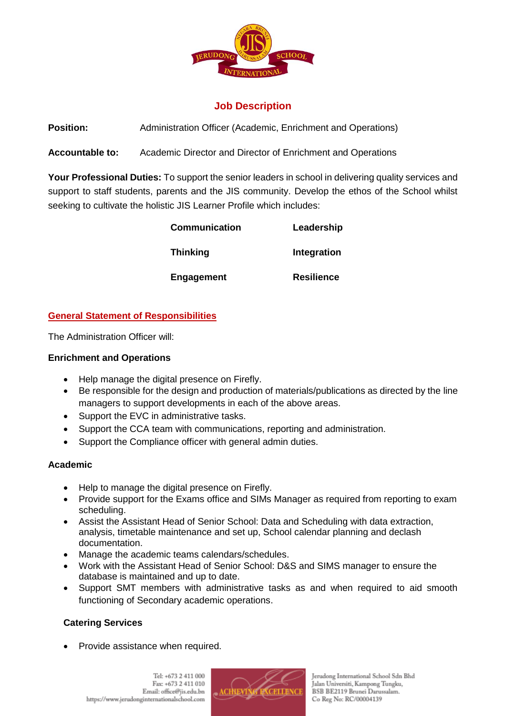

# **Job Description**

**Position:** Administration Officer (Academic, Enrichment and Operations)

**Accountable to:** Academic Director and Director of Enrichment and Operations

**Your Professional Duties:** To support the senior leaders in school in delivering quality services and support to staff students, parents and the JIS community. Develop the ethos of the School whilst seeking to cultivate the holistic JIS Learner Profile which includes:

| <b>Communication</b> | Leadership        |
|----------------------|-------------------|
| <b>Thinking</b>      | Integration       |
| Engagement           | <b>Resilience</b> |

## **General Statement of Responsibilities**

The Administration Officer will:

### **Enrichment and Operations**

- Help manage the digital presence on Firefly.
- Be responsible for the design and production of materials/publications as directed by the line managers to support developments in each of the above areas.
- Support the EVC in administrative tasks.
- Support the CCA team with communications, reporting and administration.
- Support the Compliance officer with general admin duties.

### **Academic**

- Help to manage the digital presence on Firefly.
- Provide support for the Exams office and SIMs Manager as required from reporting to exam scheduling.
- Assist the Assistant Head of Senior School: Data and Scheduling with data extraction, analysis, timetable maintenance and set up, School calendar planning and declash documentation.
- Manage the academic teams calendars/schedules.
- Work with the Assistant Head of Senior School: D&S and SIMS manager to ensure the database is maintained and up to date.
- Support SMT members with administrative tasks as and when required to aid smooth functioning of Secondary academic operations.

## **Catering Services**

Provide assistance when required.



Jerudong International School Sdn Bhd Jalan Universiti, Kampong Tungku, BSB BE2119 Brunei Darussalam. Co Reg No: RC/00004139